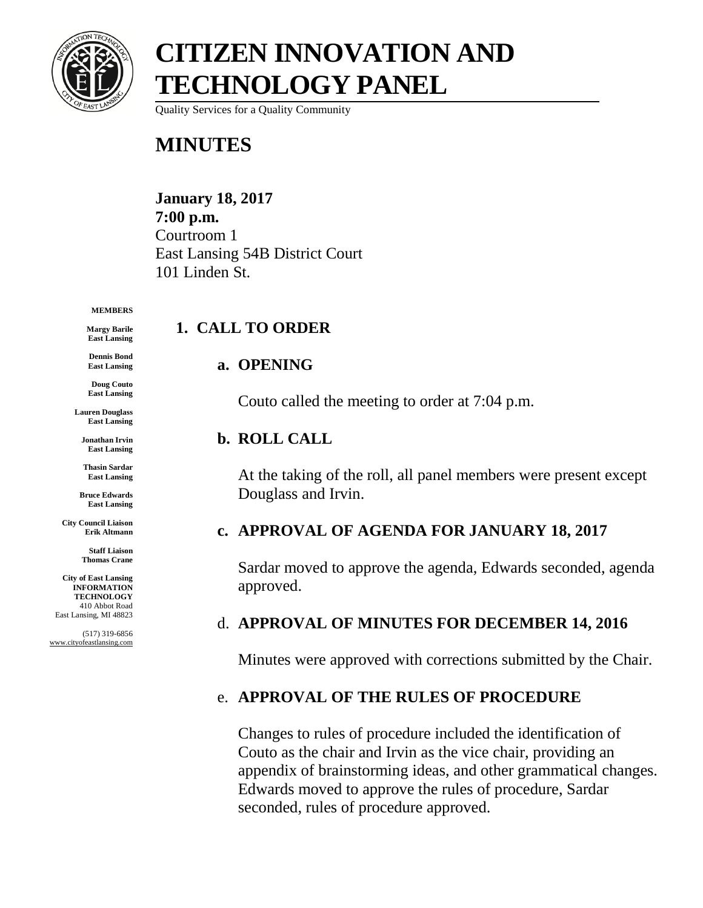

Quality Services for a Quality Community

### **MINUTES**

#### **January 18, 2017 7:00 p.m.** Courtroom 1 East Lansing 54B District Court 101 Linden St.

#### **MEMBERS**

**Margy Barile East Lansing**

**Dennis Bond East Lansing**

**Doug Couto East Lansing**

**Lauren Douglass East Lansing**

**Jonathan Irvin East Lansing**

**Thasin Sardar East Lansing**

**Bruce Edwards East Lansing**

**City Council Liaison Erik Altmann**

> **Staff Liaison Thomas Crane**

**City of East Lansing INFORMATION TECHNOLOGY** 410 Abbot Road East Lansing, MI 48823

(517) 319-6856 www.cityofeastlansing.com

# **1. CALL TO ORDER**

#### **a. OPENING**

Couto called the meeting to order at 7:04 p.m.

#### **b. ROLL CALL**

At the taking of the roll, all panel members were present except Douglass and Irvin.

#### **c. APPROVAL OF AGENDA FOR JANUARY 18, 2017**

Sardar moved to approve the agenda, Edwards seconded, agenda approved.

#### d. **APPROVAL OF MINUTES FOR DECEMBER 14, 2016**

Minutes were approved with corrections submitted by the Chair.

#### e. **APPROVAL OF THE RULES OF PROCEDURE**

Changes to rules of procedure included the identification of Couto as the chair and Irvin as the vice chair, providing an appendix of brainstorming ideas, and other grammatical changes. Edwards moved to approve the rules of procedure, Sardar seconded, rules of procedure approved.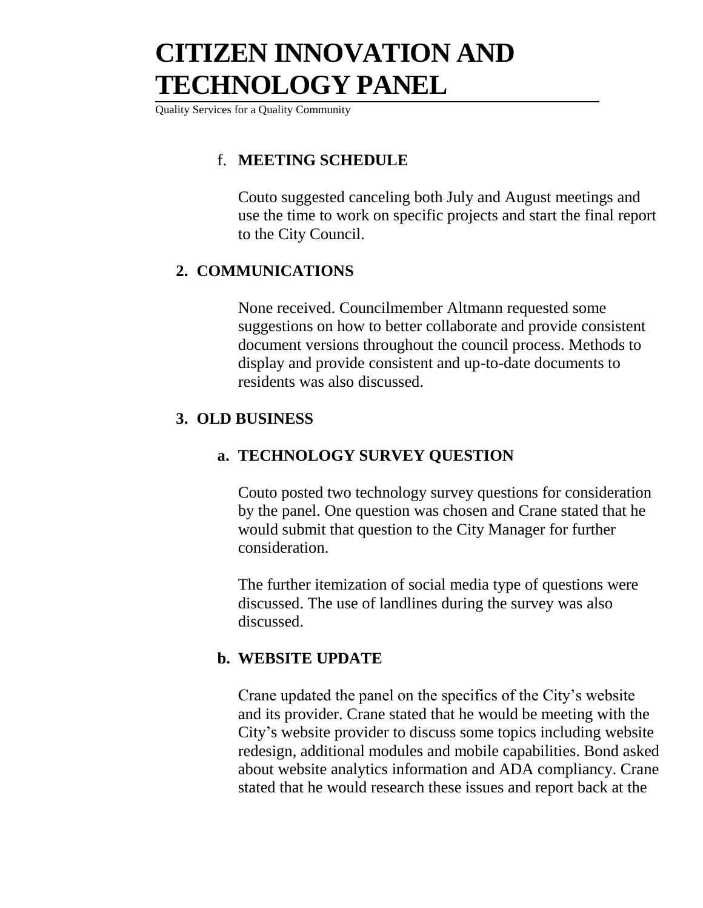Quality Services for a Quality Community

#### f. **MEETING SCHEDULE**

Couto suggested canceling both July and August meetings and use the time to work on specific projects and start the final report to the City Council.

#### **2. COMMUNICATIONS**

None received. Councilmember Altmann requested some suggestions on how to better collaborate and provide consistent document versions throughout the council process. Methods to display and provide consistent and up-to-date documents to residents was also discussed.

#### **3. OLD BUSINESS**

#### **a. TECHNOLOGY SURVEY QUESTION**

Couto posted two technology survey questions for consideration by the panel. One question was chosen and Crane stated that he would submit that question to the City Manager for further consideration.

The further itemization of social media type of questions were discussed. The use of landlines during the survey was also discussed.

#### **b. WEBSITE UPDATE**

Crane updated the panel on the specifics of the City's website and its provider. Crane stated that he would be meeting with the City's website provider to discuss some topics including website redesign, additional modules and mobile capabilities. Bond asked about website analytics information and ADA compliancy. Crane stated that he would research these issues and report back at the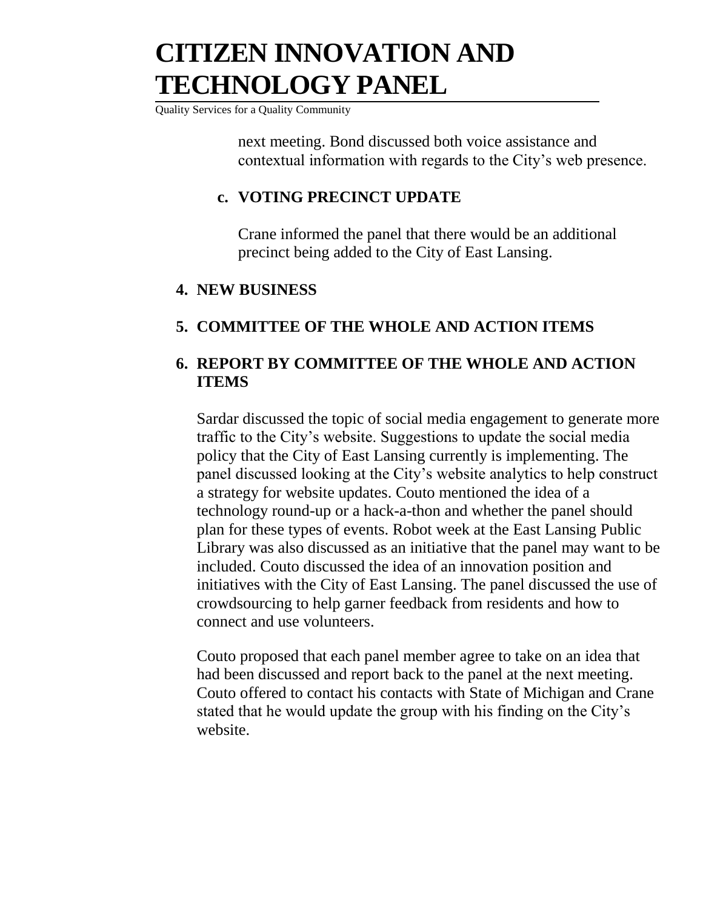Quality Services for a Quality Community

next meeting. Bond discussed both voice assistance and contextual information with regards to the City's web presence.

#### **c. VOTING PRECINCT UPDATE**

Crane informed the panel that there would be an additional precinct being added to the City of East Lansing.

#### **4. NEW BUSINESS**

#### **5. COMMITTEE OF THE WHOLE AND ACTION ITEMS**

#### **6. REPORT BY COMMITTEE OF THE WHOLE AND ACTION ITEMS**

Sardar discussed the topic of social media engagement to generate more traffic to the City's website. Suggestions to update the social media policy that the City of East Lansing currently is implementing. The panel discussed looking at the City's website analytics to help construct a strategy for website updates. Couto mentioned the idea of a technology round-up or a hack-a-thon and whether the panel should plan for these types of events. Robot week at the East Lansing Public Library was also discussed as an initiative that the panel may want to be included. Couto discussed the idea of an innovation position and initiatives with the City of East Lansing. The panel discussed the use of crowdsourcing to help garner feedback from residents and how to connect and use volunteers.

Couto proposed that each panel member agree to take on an idea that had been discussed and report back to the panel at the next meeting. Couto offered to contact his contacts with State of Michigan and Crane stated that he would update the group with his finding on the City's website.